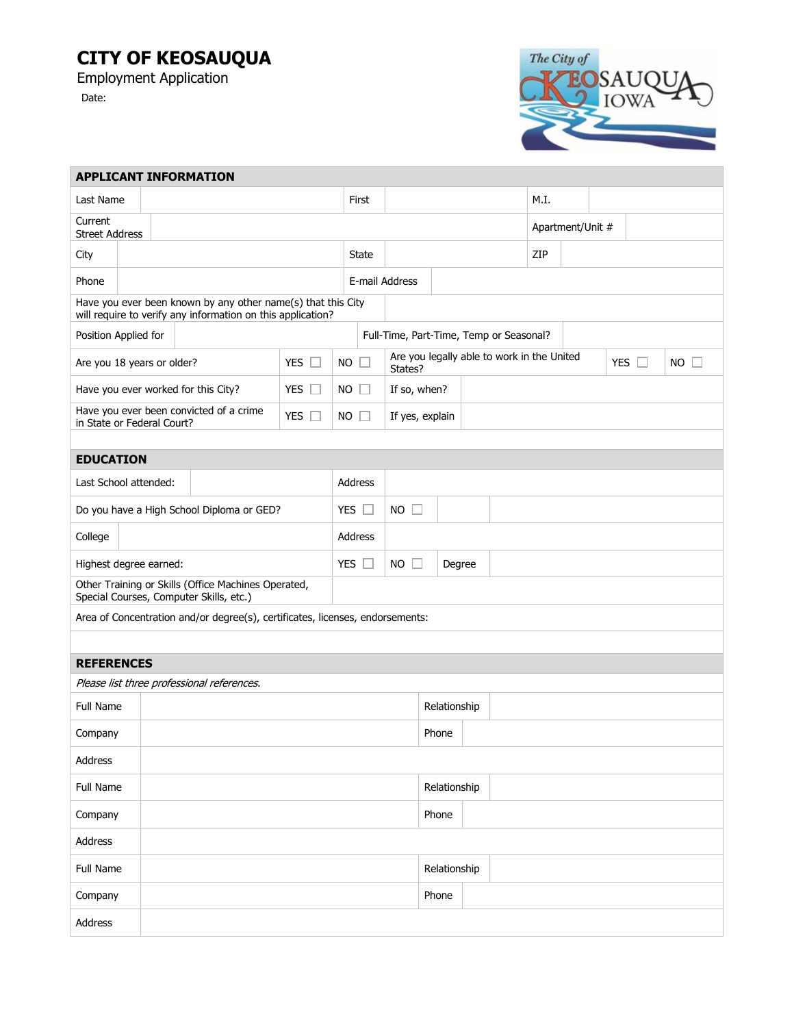## **CITY OF KEOSAUQUA**

Employment Application Date:

The City of **ZEOSAUQU OWA** 

| <b>APPLICANT INFORMATION</b>                                                                                                |           |  |  |           |              |                                                       |                |              |  |                  |      |            |             |  |  |
|-----------------------------------------------------------------------------------------------------------------------------|-----------|--|--|-----------|--------------|-------------------------------------------------------|----------------|--------------|--|------------------|------|------------|-------------|--|--|
|                                                                                                                             | Last Name |  |  |           |              | First                                                 |                |              |  |                  | M.I. |            |             |  |  |
| Current<br><b>Street Address</b>                                                                                            |           |  |  |           |              |                                                       |                |              |  | Apartment/Unit # |      |            |             |  |  |
| City                                                                                                                        |           |  |  |           | <b>State</b> |                                                       |                |              |  | ZIP              |      |            |             |  |  |
| Phone                                                                                                                       |           |  |  |           |              |                                                       | E-mail Address |              |  |                  |      |            |             |  |  |
| Have you ever been known by any other name(s) that this City<br>will require to verify any information on this application? |           |  |  |           |              |                                                       |                |              |  |                  |      |            |             |  |  |
| Position Applied for                                                                                                        |           |  |  |           |              | Full-Time, Part-Time, Temp or Seasonal?               |                |              |  |                  |      |            |             |  |  |
| Are you 18 years or older?<br>YES $\Box$                                                                                    |           |  |  | NO.       |              | Are you legally able to work in the United<br>States? |                |              |  |                  |      | YES $\Box$ | $NO$ $\Box$ |  |  |
| YES $\square$<br>Have you ever worked for this City?                                                                        |           |  |  | NO.       |              | If so, when?                                          |                |              |  |                  |      |            |             |  |  |
| Have you ever been convicted of a crime<br>YES $\square$<br>in State or Federal Court?                                      |           |  |  | <b>NO</b> | $\Box$       | If yes, explain                                       |                |              |  |                  |      |            |             |  |  |
|                                                                                                                             |           |  |  |           |              |                                                       |                |              |  |                  |      |            |             |  |  |
| <b>EDUCATION</b>                                                                                                            |           |  |  |           |              |                                                       |                |              |  |                  |      |            |             |  |  |
| Last School attended:                                                                                                       |           |  |  |           | Address      |                                                       |                |              |  |                  |      |            |             |  |  |
| Do you have a High School Diploma or GED?                                                                                   |           |  |  |           | YES $\Box$   | <b>NO</b><br>IJ                                       |                |              |  |                  |      |            |             |  |  |
| College                                                                                                                     |           |  |  | Address   |              |                                                       |                |              |  |                  |      |            |             |  |  |
| Highest degree earned:                                                                                                      |           |  |  |           | YES $\Box$   | <b>NO</b><br>Degree                                   |                |              |  |                  |      |            |             |  |  |
| Other Training or Skills (Office Machines Operated,<br>Special Courses, Computer Skills, etc.)                              |           |  |  |           |              |                                                       |                |              |  |                  |      |            |             |  |  |
| Area of Concentration and/or degree(s), certificates, licenses, endorsements:                                               |           |  |  |           |              |                                                       |                |              |  |                  |      |            |             |  |  |
|                                                                                                                             |           |  |  |           |              |                                                       |                |              |  |                  |      |            |             |  |  |
| <b>REFERENCES</b>                                                                                                           |           |  |  |           |              |                                                       |                |              |  |                  |      |            |             |  |  |
| Please list three professional references.                                                                                  |           |  |  |           |              |                                                       |                |              |  |                  |      |            |             |  |  |
| <b>Full Name</b>                                                                                                            |           |  |  |           |              |                                                       |                | Relationship |  |                  |      |            |             |  |  |
| Company                                                                                                                     |           |  |  |           |              |                                                       | Phone          |              |  |                  |      |            |             |  |  |
| Address                                                                                                                     |           |  |  |           |              |                                                       |                |              |  |                  |      |            |             |  |  |
| Full Name                                                                                                                   |           |  |  |           |              |                                                       |                | Relationship |  |                  |      |            |             |  |  |
| Company                                                                                                                     |           |  |  |           |              |                                                       |                | Phone        |  |                  |      |            |             |  |  |
| Address                                                                                                                     |           |  |  |           |              |                                                       |                |              |  |                  |      |            |             |  |  |
| Full Name                                                                                                                   |           |  |  |           |              |                                                       | Relationship   |              |  |                  |      |            |             |  |  |
| Company                                                                                                                     |           |  |  |           |              |                                                       | Phone          |              |  |                  |      |            |             |  |  |
| Address                                                                                                                     |           |  |  |           |              |                                                       |                |              |  |                  |      |            |             |  |  |